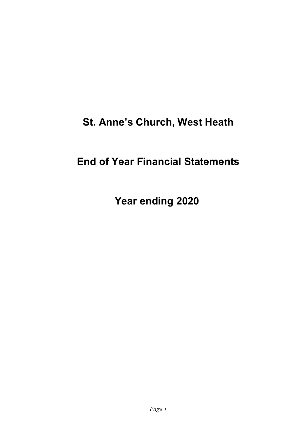# **St. Anne's Church, West Heath**

# **End of Year Financial Statements**

**Year ending 2020**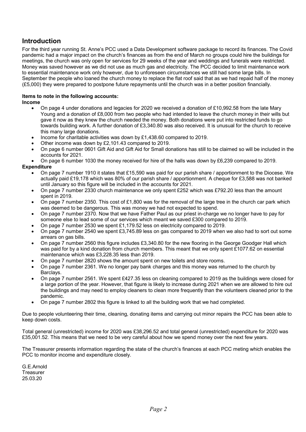### **Introduction**

For the third year running St. Anne's PCC used a Data Development software package to record its finances. The Covid pandemic had a major impact on the church's finances as from the end of March no groups could hire the buildings for meetings, the church was only open for services for 29 weeks of the year and weddings and funerals were restricted. Money was saved however as we did not use as much gas and electricity. The PCC decided to limit maintenance work to essential maintenance work only however, due to unforeseen circumstances we still had some large bills. In September the people who loaned the church money to replace the flat roof said that as we had repaid half of the money (£5,000) they were prepared to postpone future repayments until the church was in a better position financially.

### **Items to note in the following accounts:**

**Income**

- On page 4 under donations and legacies for 2020 we received a donation of £10,992.58 from the late Mary Young and a donation of £8,000 from two people who had intended to leave the church money in their wills but gave it now as they knew the church needed the money. Both donations were put into restricted funds to go towards building work. A further donation of £3,340.80 was also received. It is unusual for the church to receive this many large donations.
- Income for charitable activities was down by £1,438.60 compared to 2019.
- Other income was down by £2,101.43 compared to 2019.
- On page 6 number 0601 Gift Aid and Gift Aid for Small donations has still to be claimed so will be included in the accounts for 2021.
- On page 6 number 1030 the money received for hire of the halls was down by £6,239 compared to 2019.

#### **Expenditure**

- On page 7 number 1910 it states that £15,590 was paid for our parish share / apportionment to the Diocese. We actually paid £19,178 which was 80% of our parish share / apportionment. A cheque for £3,588 was not banked until January so this figure will be included in the accounts for 2021.
- On page 7 number 2330 church maintenance we only spent £252 which was £792.20 less than the amount spent in 2019.
- On page 7 number 2350. This cost of £1,800 was for the removal of the large tree in the church car park which was deemed to be dangerous. This was money we had not expected to spend.
- On page 7 number 2370. Now that we have Father Paul as our priest in-charge we no longer have to pay for someone else to lead some of our services which meant we saved £300 compared to 2019.
- On page 7 number 2530 we spent £1,179.52 less on electricity compared to 2019.
- On page 7 number 2540 we spent £3,745.89 less on gas compared to 2019 when we also had to sort out some arrears on gas bills.
- On page 7 number 2560 this figure includes £3,340.80 for the new flooring in the George Goodger Hall which was paid for by a kind donation from church members. This meant that we only spent £1077.62 on essential maintenance which was £3,228.35 less than 2019.
- On page 7 number 2820 shows the amount spent on new toilets and store rooms.
- On page 7 number 2361. We no longer pay bank charges and this money was returned to the church by Barclays.
- On page 7 number 2561. We spent £427.35 less on cleaning compared to 2019 as the buildings were closed for a large portion of the year. However, that figure is likely to increase during 2021 when we are allowed to hire out the buildings and may need to employ cleaners to clean more frequently than the volunteers cleaned prior to the pandemic.
- On page 7 number 2802 this figure is linked to all the building work that we had completed.

Due to people volunteering their time, cleaning, donating items and carrying out minor repairs the PCC has been able to keep down costs.

Total general (unrestricted) income for 2020 was £38,296.52 and total general (unrestricted) expenditure for 2020 was £35,001.52. This means that we need to be very careful about how we spend money over the next few years.

The Treasurer presents information regarding the state of the church's finances at each PCC meting which enables the PCC to monitor income and expenditure closely.

G.E.Arnold **Treasurer** 25.03.20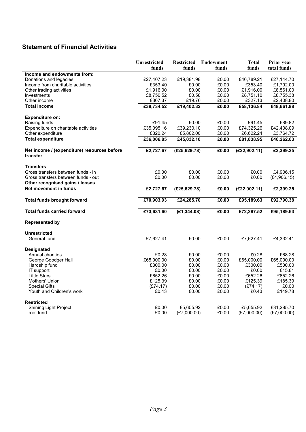## **Statement of Financial Activities**

|                                             | <b>Unrestricted</b> | <b>Restricted</b> | <b>Endowment</b> | <b>Total</b>  | Prior year   |
|---------------------------------------------|---------------------|-------------------|------------------|---------------|--------------|
|                                             | funds               | funds             | funds            | funds         | total funds  |
| Income and endowments from:                 |                     |                   |                  |               |              |
| Donations and legacies                      | £27,407.23          | £19,381.98        | £0.00            | £46,789.21    | £27,144.70   |
| Income from charitable activities           | £353.40             | £0.00             | £0.00            | £353.40       | £1,792.00    |
| Other trading activities                    | £1,916.00           | £0.00             | £0.00            | £1,916.00     | £8,561.00    |
| Investments                                 | £8,750.52           | £0.58             | £0.00            | £8,751.10     | £8,755.38    |
| Other income                                | £307.37             | £19.76            | £0.00            | £327.13       | £2,408.80    |
| <b>Total income</b>                         | £38,734.52          | £19,402.32        | £0.00            | £58,136.84    | £48,661.88   |
| <b>Expenditure on:</b>                      |                     |                   |                  |               |              |
| Raising funds                               | £91.45              | £0.00             | £0.00            | £91.45        | £89.82       |
| Expenditure on charitable activities        | £35,095.16          | £39,230.10        | £0.00            | £74,325.26    | £42,408.09   |
| Other expenditure                           | £820.24             | £5,802.00         | £0.00            | £6,622.24     | £3,764.72    |
| <b>Total expenditure</b>                    | £36,006.85          | £45,032.10        | £0.00            | £81,038.95    | £46,262.63   |
| Net income / (expenditure) resources before | £2,727.67           | (E25, 629.78)     | £0.00            | (E22, 902.11) | £2,399.25    |
| transfer                                    |                     |                   |                  |               |              |
| <b>Transfers</b>                            |                     |                   |                  |               |              |
| Gross transfers between funds - in          | £0.00               | £0.00             | £0.00            | £0.00         | £4,906.15    |
| Gross transfers between funds - out         | £0.00               | £0.00             | £0.00            | £0.00         | (E4, 906.15) |
| Other recognised gains / losses             |                     |                   |                  |               |              |
| Net movement in funds                       | £2,727.67           | (E25, 629.78)     | £0.00            | (E22, 902.11) | £2,399.25    |
| <b>Total funds brought forward</b>          | £70,903.93          | £24,285.70        | £0.00            | £95,189.63    | £92,790.38   |
| <b>Total funds carried forward</b>          | £73,631.60          | (E1, 344.08)      | £0.00            | £72,287.52    | £95,189.63   |
| <b>Represented by</b>                       |                     |                   |                  |               |              |
| <b>Unrestricted</b>                         |                     |                   |                  |               |              |
| General fund                                | £7,627.41           | £0.00             | £0.00            | £7,627.41     | £4,332.41    |
| <b>Designated</b>                           |                     |                   |                  |               |              |
| Annual charities                            | £0.28               | £0.00             | £0.00            | £0.28         | £68.28       |
| George Goodger Hall                         | £65,000.00          | £0.00             | £0.00            | £65,000.00    | £65,000.00   |
| Hardship fund                               | £300.00             | £0.00             | £0.00            | £300.00       | £500.00      |
| IT support                                  | £0.00               | £0.00             | £0.00            | £0.00         | £15.81       |
| <b>Little Stars</b>                         | £652.26             | £0.00             | £0.00            | £652.26       | £652.26      |
| Mothers' Union                              | £125.39             | £0.00             | £0.00            | £125.39       | £185.39      |
| <b>Special Gifts</b>                        | (E74.17)            | £0.00             | £0.00            | (E74.17)      | £0.00        |
| Youth and Children's work                   | £0.43               | £0.00             | £0.00            | £0.43         | £149.78      |
| <b>Restricted</b>                           |                     |                   |                  |               |              |
| <b>Shining Light Project</b>                | £0.00               | £5,655.92         | £0.00            | £5,655.92     | £31,285.70   |
| roof fund                                   | £0.00               | (E7,000.00)       | £0.00            | (E7,000.00)   | (E7,000.00)  |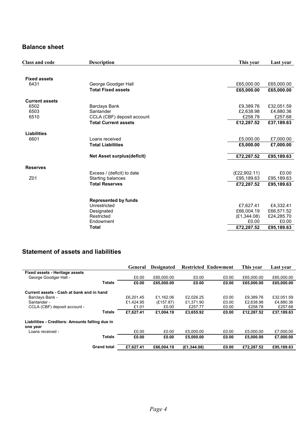#### **Balance sheet**

| <b>Class and code</b> | <b>Description</b>                | This year                  | Last year                |
|-----------------------|-----------------------------------|----------------------------|--------------------------|
|                       |                                   |                            |                          |
| <b>Fixed assets</b>   |                                   |                            |                          |
| 6431                  | George Goodger Hall               | £65,000.00                 | £65,000.00               |
|                       | <b>Total Fixed assets</b>         | £65,000.00                 | £65,000.00               |
| <b>Current assets</b> |                                   |                            |                          |
| 6502                  | <b>Barclays Bank</b>              | £9,389.76                  | £32,051.59               |
| 6503                  | Santander                         | £2,638.98                  | £4,880.36                |
| 6510                  | CCLA (CBF) deposit account        | £258.78                    | £257.68                  |
|                       | <b>Total Current assets</b>       | £12,287.52                 | £37,189.63               |
| <b>Liabilities</b>    |                                   |                            |                          |
| 6601                  | Loans received                    | £5,000.00                  | £7,000.00                |
|                       | <b>Total Liabilities</b>          | £5,000.00                  | £7,000.00                |
|                       | <b>Net Asset surplus(deficit)</b> | £72,287.52                 | £95,189.63               |
|                       |                                   |                            |                          |
| <b>Reserves</b>       |                                   |                            |                          |
|                       | Excess / (deficit) to date        | (E22, 902.11)              | £0.00                    |
| Z01                   | Starting balances                 | £95,189.63                 | £95,189.63               |
|                       | <b>Total Reserves</b>             | £72,287.52                 | £95,189.63               |
|                       |                                   |                            |                          |
|                       | <b>Represented by funds</b>       |                            |                          |
|                       | Unrestricted                      | £7,627.41                  | £4,332.41                |
|                       | Designated<br>Restricted          | £66,004.19<br>(E1, 344.08) | £66,571.52<br>£24,285.70 |
|                       | Endowment                         | £0.00                      | £0.00                    |
|                       | <b>Total</b>                      | £72,287.52                 | £95,189.63               |
|                       |                                   |                            |                          |

# **Statement of assets and liabilities**

|                                                 |                    | General   | <b>Designated</b> |              | <b>Restricted Endowment</b> | This vear  | <b>Last vear</b> |
|-------------------------------------------------|--------------------|-----------|-------------------|--------------|-----------------------------|------------|------------------|
| Fixed assets - Heritage assets                  |                    |           |                   |              |                             |            |                  |
| George Goodger Hall -                           |                    | £0.00     | £65,000.00        | £0.00        | £0.00                       | £65,000.00 | £65,000.00       |
|                                                 | <b>Totals</b>      | £0.00     | £65,000.00        | £0.00        | £0.00                       | £65,000.00 | £65,000.00       |
| Current assets - Cash at bank and in hand       |                    |           |                   |              |                             |            |                  |
| Barclays Bank -                                 |                    | £6.201.45 | £1.162.06         | £2.026.25    | £0.00                       | £9.389.76  | £32,051.59       |
| Santander -                                     |                    | £1.424.95 | (E157.87)         | £1.371.90    | £0.00                       | £2.638.98  | £4,880.36        |
| CCLA (CBF) deposit account -                    |                    | £1.01     | £0.00             | £257.77      | £0.00                       | £258.78    | £257.68          |
|                                                 | <b>Totals</b>      | £7.627.41 | £1.004.19         | £3,655.92    | £0.00                       | £12.287.52 | £37,189.63       |
| Liabilities - Creditors: Amounts falling due in |                    |           |                   |              |                             |            |                  |
| one year                                        |                    |           |                   |              |                             |            |                  |
| Loans received -                                |                    | £0.00     | £0.00             | £5,000.00    | £0.00                       | £5,000.00  | £7,000.00        |
|                                                 | <b>Totals</b>      | £0.00     | £0.00             | £5,000.00    | £0.00                       | £5,000.00  | £7,000.00        |
|                                                 | <b>Grand total</b> | £7.627.41 | £66,004.19        | (E1, 344.08) | £0.00                       | £72.287.52 | £95,189.63       |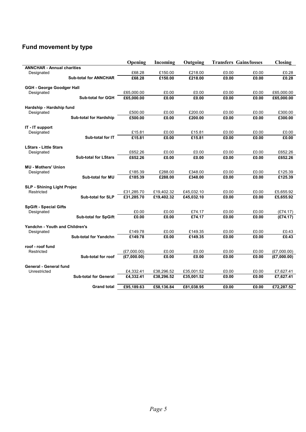# **Fund movement by type**

|                                                 |                               | Opening                    | Incoming       | Outgoing       |                | <b>Transfers Gains/losses</b> | <b>Closing</b> |
|-------------------------------------------------|-------------------------------|----------------------------|----------------|----------------|----------------|-------------------------------|----------------|
| <b>ANNCHAR - Annual charities</b>               |                               |                            |                |                |                |                               |                |
| Designated                                      |                               | £68.28                     | £150.00        | £218.00        | £0.00          | £0.00                         | £0.28          |
|                                                 | <b>Sub-total for ANNCHAR</b>  | £68.28                     | £150.00        | £218.00        | £0.00          | £0.00                         | £0.28          |
| <b>GGH - George Goodger Hall</b>                |                               |                            |                |                |                |                               |                |
| Designated                                      |                               | £65,000.00                 | £0.00          | £0.00          | £0.00          | £0.00                         | £65,000.00     |
|                                                 | <b>Sub-total for GGH</b>      | £65,000.00                 | £0.00          | £0.00          | £0.00          | £0.00                         | £65,000.00     |
|                                                 |                               |                            |                |                |                |                               |                |
| Hardship - Hardship fund                        |                               |                            |                |                |                |                               |                |
| Designated                                      |                               | £500.00                    | £0.00          | £200.00        | £0.00          | £0.00                         | £300.00        |
|                                                 | <b>Sub-total for Hardship</b> | £500.00                    | £0.00          | £200.00        | £0.00          | £0.00                         | £300.00        |
| IT - IT support                                 |                               |                            |                |                |                |                               |                |
| Designated                                      |                               | £15.81                     | £0.00          | £15.81         | £0.00          | £0.00                         | £0.00          |
|                                                 | Sub-total for IT              | £15.81                     | £0.00          | £15.81         | £0.00          | £0.00                         | £0.00          |
|                                                 |                               |                            |                |                |                |                               |                |
| <b>LStars - Little Stars</b><br>Designated      |                               | £652.26                    | £0.00          | £0.00          | £0.00          | £0.00                         | £652.26        |
|                                                 | <b>Sub-total for LStars</b>   | £652.26                    | £0.00          | £0.00          | £0.00          | £0.00                         | £652.26        |
|                                                 |                               |                            |                |                |                |                               |                |
| <b>MU - Mothers' Union</b>                      |                               |                            |                |                |                |                               |                |
| Designated                                      |                               | £185.39                    | £288.00        | £348.00        | £0.00          | £0.00                         | £125.39        |
|                                                 | Sub-total for MU              | £185.39                    | £288.00        | £348.00        | £0.00          | £0.00                         | £125.39        |
|                                                 |                               |                            |                |                |                |                               |                |
| <b>SLP - Shining Light Projec</b><br>Restricted |                               | £31,285.70                 | £19,402.32     | £45,032.10     | £0.00          | £0.00                         | £5,655.92      |
|                                                 | <b>Sub-total for SLP</b>      | £31,285.70                 | £19,402.32     | £45,032.10     | £0.00          | £0.00                         | £5,655.92      |
|                                                 |                               |                            |                |                |                |                               |                |
| <b>SpGift - Special Gifts</b>                   |                               |                            |                |                |                |                               |                |
| Designated                                      |                               | £0.00                      | £0.00          | £74.17         | £0.00          | £0.00                         | (E74.17)       |
|                                                 | <b>Sub-total for SpGift</b>   | £0.00                      | £0.00          | £74.17         | £0.00          | £0.00                         | (E74.17)       |
| Yandchn - Youth and Children's                  |                               |                            |                |                |                |                               |                |
| Designated                                      |                               | £149.78                    | £0.00          | £149.35        | £0.00          | £0.00                         | £0.43          |
|                                                 | <b>Sub-total for Yandchn</b>  | £149.78                    | £0.00          | £149.35        | £0.00          | £0.00                         | £0.43          |
|                                                 |                               |                            |                |                |                |                               |                |
| roof - roof fund                                |                               |                            |                |                |                |                               |                |
| Restricted                                      | Sub-total for roof            | (E7,000.00)<br>(E7,000.00) | £0.00<br>£0.00 | £0.00<br>£0.00 | £0.00<br>£0.00 | £0.00<br>£0.00                | (E7,000.00)    |
|                                                 |                               |                            |                |                |                |                               | (E7,000.00)    |
| General - General fund                          |                               |                            |                |                |                |                               |                |
| Unrestricted                                    |                               | £4,332.41                  | £38,296.52     | £35,001.52     | £0.00          | £0.00                         | £7,627.41      |
|                                                 | <b>Sub-total for General</b>  | £4,332.41                  | £38,296.52     | £35,001.52     | £0.00          | £0.00                         | £7,627.41      |
|                                                 |                               |                            |                |                |                |                               |                |
|                                                 | <b>Grand total</b>            | £95,189.63                 | £58,136.84     | £81,038.95     | £0.00          | £0.00                         | £72.287.52     |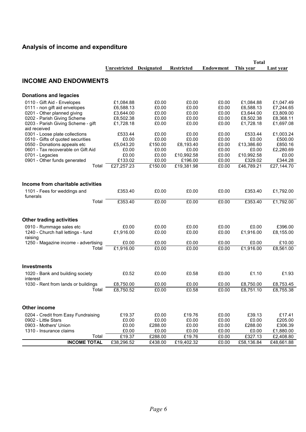# **Analysis of income and expenditure**

|                                                 |                                |         |                   |                  | <b>Total</b> |            |  |
|-------------------------------------------------|--------------------------------|---------|-------------------|------------------|--------------|------------|--|
|                                                 | <b>Unrestricted Designated</b> |         | <b>Restricted</b> | <b>Endowment</b> | This year    | Last year  |  |
| <b>INCOME AND ENDOWMENTS</b>                    |                                |         |                   |                  |              |            |  |
|                                                 |                                |         |                   |                  |              |            |  |
| <b>Donations and legacies</b>                   |                                |         |                   |                  |              |            |  |
| 0110 - Gift Aid - Envelopes                     | £1,084.88                      | £0.00   | £0.00             | £0.00            | £1,084.88    | £1,047.49  |  |
| 0111 - non gift aid envelopes                   | £6,588.13                      | £0.00   | £0.00             | £0.00            | £6,588.13    | £7,244.65  |  |
| 0201 - Other planned giving                     | £3,644.00                      | £0.00   | £0.00             | £0.00            | £3,644.00    | £3,809.00  |  |
| 0202 - Parish Giving Scheme                     | £8,502.38                      | £0.00   | £0.00             | £0.00            | £8,502.38    | £8,368.11  |  |
| 0203 - Parish Giving Scheme - gift              | £1,728.18                      | £0.00   | £0.00             | £0.00            | £1,728.18    | £1,697.08  |  |
| aid received                                    |                                |         |                   |                  |              |            |  |
| 0301 - Loose plate collections                  | £533.44                        | £0.00   | £0.00             | £0.00            | £533.44      | £1,003.24  |  |
| 0510 - Gifts of quoted securities               | £0.00                          | £0.00   | £0.00             | £0.00            | £0.00        | £500.00    |  |
| 0550 - Donations appeals etc                    | £5,043.20                      | £150.00 | £8,193.40         | £0.00            | £13,386.60   | £850.16    |  |
| 0601 - Tax recoverable on Gift Aid              | £0.00                          | £0.00   | £0.00             | £0.00            | £0.00        | £2,280.69  |  |
| 0701 - Legacies                                 | £0.00                          | £0.00   | £10,992.58        | £0.00            | £10,992.58   | £0.00      |  |
| 0901 - Other funds generated                    | £133.02                        | £0.00   | £196.00           | £0.00            | £329.02      | £344.28    |  |
| Total                                           | £27,257.23                     | £150.00 | £19,381.98        | £0.00            | £46,789.21   | £27,144.70 |  |
|                                                 |                                |         |                   |                  |              |            |  |
| Income from charitable activities               |                                |         |                   |                  |              |            |  |
| 1101 - Fees for weddings and                    | £353.40                        | £0.00   | £0.00             | £0.00            | £353.40      | £1,792.00  |  |
| funerals<br>Total                               | £353.40                        |         |                   |                  |              |            |  |
|                                                 |                                | £0.00   | £0.00             | £0.00            | £353.40      | £1,792.00  |  |
| <b>Other trading activities</b>                 |                                |         |                   |                  |              |            |  |
| 0910 - Rummage sales etc                        | £0.00                          | £0.00   | £0.00             | £0.00            | £0.00        | £396.00    |  |
| 1240 - Church hall lettings - fund              | £1,916.00                      | £0.00   | £0.00             | £0.00            | £1,916.00    | £8,155.00  |  |
| raising                                         |                                |         |                   |                  |              |            |  |
| 1250 - Magazine income - advertising            | £0.00                          | £0.00   | £0.00             | £0.00            | £0.00        | £10.00     |  |
| Total                                           | £1,916.00                      | £0.00   | £0.00             | £0.00            | £1,916.00    | £8,561.00  |  |
|                                                 |                                |         |                   |                  |              |            |  |
| <b>Investments</b>                              |                                |         |                   |                  |              |            |  |
| 1020 - Bank and building society                | £0.52                          | £0.00   | £0.58             | £0.00            | £1.10        | £1.93      |  |
| interest<br>1030 - Rent from lands or buildings | £8,750.00                      | £0.00   | £0.00             | £0.00            | £8,750.00    | £8,753.45  |  |
| Total                                           | £8,750.52                      | £0.00   | £0.58             | £0.00            | £8,751.10    | £8,755.38  |  |
|                                                 |                                |         |                   |                  |              |            |  |
| <b>Other income</b>                             |                                |         |                   |                  |              |            |  |
| 0204 - Credit from Easy Fundraising             | £19.37                         | £0.00   | £19.76            | £0.00            | £39.13       | £17.41     |  |
| 0902 - Little Stars                             | £0.00                          | £0.00   | £0.00             | £0.00            | £0.00        | £205.00    |  |
| 0903 - Mothers' Union                           | £0.00                          | £288.00 | £0.00             | £0.00            | £288.00      | £306.39    |  |
| 1310 - Insurance claims                         | £0.00                          | £0.00   | £0.00             | £0.00            | £0.00        | £1,880.00  |  |
| Total                                           | £19.37                         | £288.00 | £19.76            | £0.00            | £327.13      | £2,408.80  |  |
| <b>INCOME TOTAL</b>                             | £38,296.52                     | £438.00 | E19,402.32        | £0.00            | £58,136.84   | £48,661.88 |  |